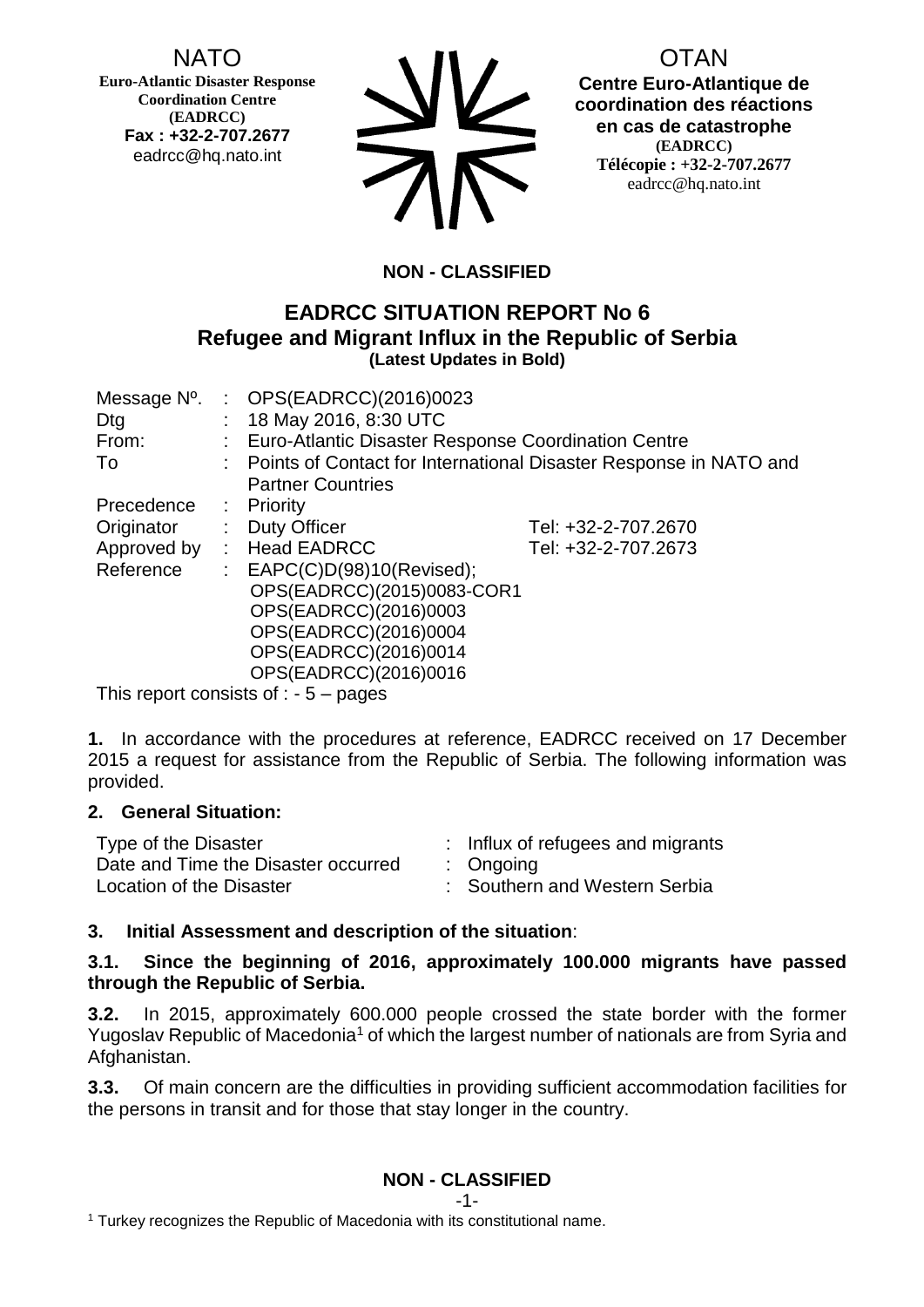# NATO

**Euro-Atlantic Disaster Response Coordination Centre (EADRCC) Fax : +32-2-707.2677** eadrcc@hq.nato.int



OTAN **Centre Euro-Atlantique de coordination des réactions en cas de catastrophe (EADRCC) Télécopie : +32-2-707.2677** eadrcc@hq.nato.int

# **NON - CLASSIFIED**

# **EADRCC SITUATION REPORT No 6 Refugee and Migrant Influx in the Republic of Serbia (Latest Updates in Bold)**

|             |                           | Message $N^0$ . : OPS(EADRCC)(2016)0023                             |                     |
|-------------|---------------------------|---------------------------------------------------------------------|---------------------|
| Dtg         |                           | : 18 May 2016, 8:30 UTC                                             |                     |
| From:       |                           | : Euro-Atlantic Disaster Response Coordination Centre               |                     |
| To          |                           | : Points of Contact for International Disaster Response in NATO and |                     |
|             |                           | <b>Partner Countries</b>                                            |                     |
| Precedence  |                           | $:$ Priority                                                        |                     |
| Originator  |                           | : Duty Officer                                                      | Tel: +32-2-707.2670 |
| Approved by |                           | : Head EADRCC                                                       | Tel: +32-2-707.2673 |
| Reference   | $\mathbb{Z}^{\mathbb{Z}}$ | EAPC(C)D(98)10(Revised);                                            |                     |
|             |                           | OPS(EADRCC)(2015)0083-COR1                                          |                     |
|             |                           | OPS(EADRCC)(2016)0003                                               |                     |
|             |                           | OPS(EADRCC)(2016)0004                                               |                     |
|             |                           | OPS(EADRCC)(2016)0014                                               |                     |
|             |                           | OPS(EADRCC)(2016)0016                                               |                     |
|             |                           | This report consists of $\cdot$ - 5 $-$ pages                       |                     |

This report consists of  $: -5$  – pages

**1.** In accordance with the procedures at reference, EADRCC received on 17 December 2015 a request for assistance from the Republic of Serbia. The following information was provided.

#### **2. General Situation:**

| Type of the Disaster                | : Influx of refugees and migrants |
|-------------------------------------|-----------------------------------|
| Date and Time the Disaster occurred | $:$ Ongoing                       |
| Location of the Disaster            | : Southern and Western Serbia     |

## **3. Initial Assessment and description of the situation**:

#### **3.1. Since the beginning of 2016, approximately 100.000 migrants have passed through the Republic of Serbia.**

**3.2.** In 2015, approximately 600.000 people crossed the state border with the former Yugoslav Republic of Macedonia<sup>1</sup> of which the largest number of nationals are from Syria and Afghanistan.

**3.3.** Of main concern are the difficulties in providing sufficient accommodation facilities for the persons in transit and for those that stay longer in the country.

# **NON - CLASSIFIED**

<sup>1</sup> Turkey recognizes the Republic of Macedonia with its constitutional name.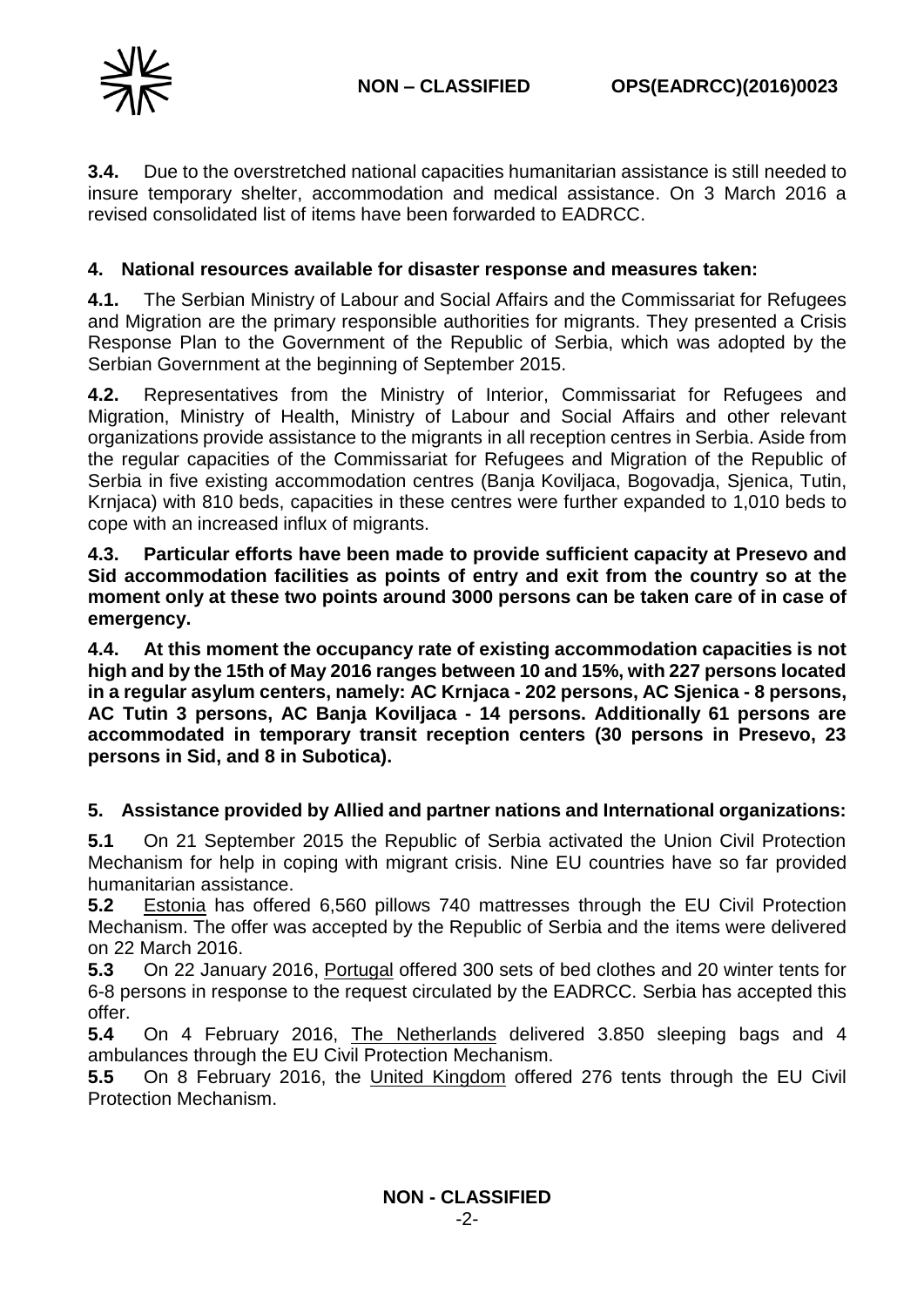**3.4.** Due to the overstretched national capacities humanitarian assistance is still needed to insure temporary shelter, accommodation and medical assistance. On 3 March 2016 a revised consolidated list of items have been forwarded to EADRCC.

## **4. National resources available for disaster response and measures taken:**

**4.1.** The Serbian Ministry of Labour and Social Affairs and the Commissariat for Refugees and Migration are the primary responsible authorities for migrants. They presented a Crisis Response Plan to the Government of the Republic of Serbia, which was adopted by the Serbian Government at the beginning of September 2015.

**4.2.** Representatives from the Ministry of Interior, Commissariat for Refugees and Migration, Ministry of Health, Ministry of Labour and Social Affairs and other relevant organizations provide assistance to the migrants in all reception centres in Serbia. Aside from the regular capacities of the Commissariat for Refugees and Migration of the Republic of Serbia in five existing accommodation centres (Banja Koviljaca, Bogovadja, Sjenica, Tutin, Krnjaca) with 810 beds, capacities in these centres were further expanded to 1,010 beds to cope with an increased influx of migrants.

**4.3. Particular efforts have been made to provide sufficient capacity at Presevo and Sid accommodation facilities as points of entry and exit from the country so at the moment only at these two points around 3000 persons can be taken care of in case of emergency.**

**4.4. At this moment the occupancy rate of existing accommodation capacities is not high and by the 15th of May 2016 ranges between 10 and 15%, with 227 persons located in a regular asylum centers, namely: AC Krnjaca - 202 persons, AC Sjenica - 8 persons, AC Tutin 3 persons, AC Banja Koviljaca - 14 persons. Additionally 61 persons are accommodated in temporary transit reception centers (30 persons in Presevo, 23 persons in Sid, and 8 in Subotica).**

## **5. Assistance provided by Allied and partner nations and International organizations:**

**5.1** On 21 September 2015 the Republic of Serbia activated the Union Civil Protection Mechanism for help in coping with migrant crisis. Nine EU countries have so far provided humanitarian assistance.

**5.2** Estonia has offered 6,560 pillows 740 mattresses through the EU Civil Protection Mechanism. The offer was accepted by the Republic of Serbia and the items were delivered on 22 March 2016.

**5.3** On 22 January 2016, Portugal offered 300 sets of bed clothes and 20 winter tents for 6-8 persons in response to the request circulated by the EADRCC. Serbia has accepted this offer.

**5.4** On 4 February 2016, The Netherlands delivered 3.850 sleeping bags and 4 ambulances through the EU Civil Protection Mechanism.

**5.5** On 8 February 2016, the United Kingdom offered 276 tents through the EU Civil Protection Mechanism.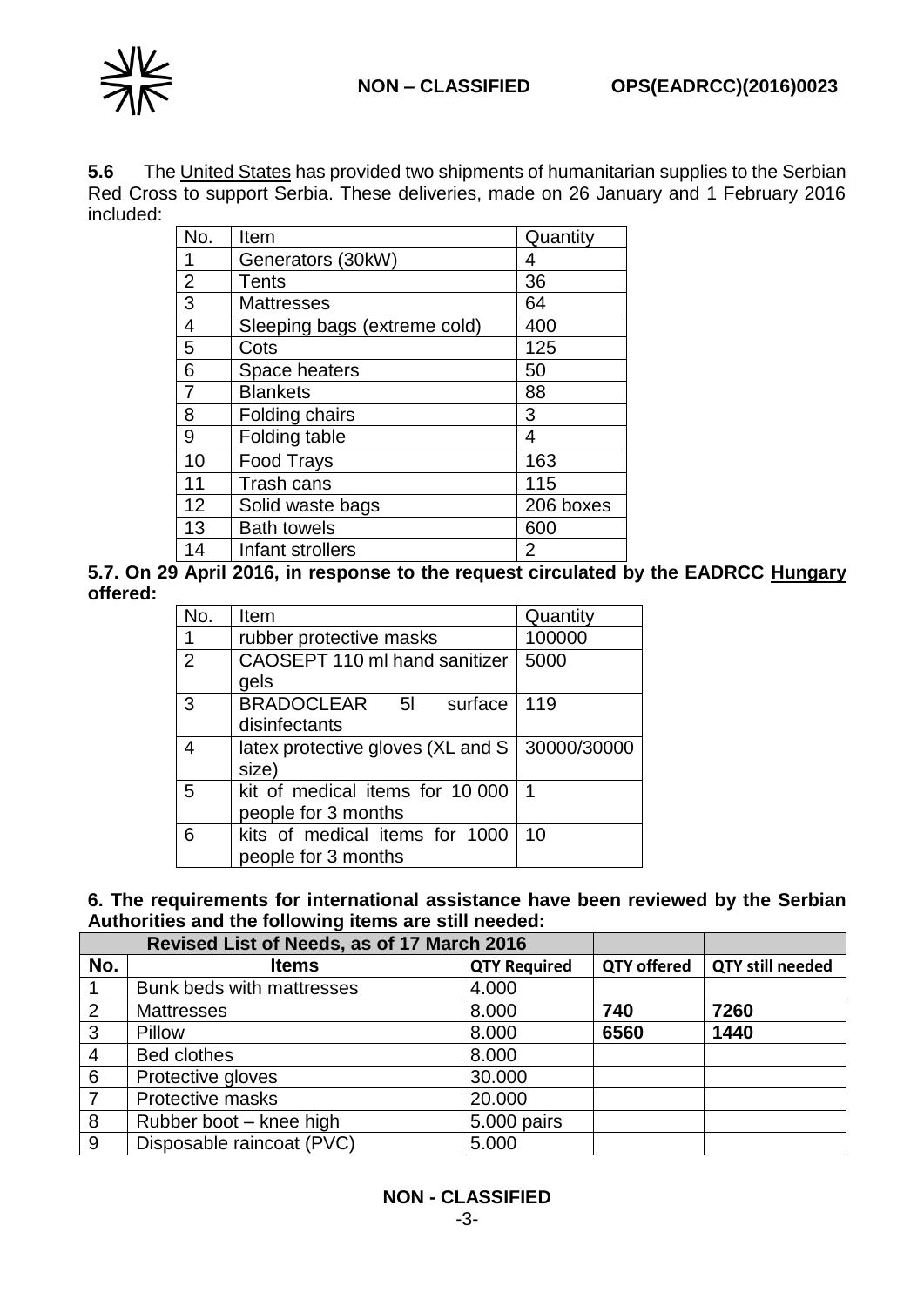

**5.6** The United States has provided two shipments of humanitarian supplies to the Serbian Red Cross to support Serbia. These deliveries, made on 26 January and 1 February 2016 included:

| No.            | Item                         | Quantity  |
|----------------|------------------------------|-----------|
| 1              | Generators (30kW)            | 4         |
| $\overline{2}$ | Tents                        | 36        |
| 3              | <b>Mattresses</b>            | 64        |
| 4              | Sleeping bags (extreme cold) | 400       |
| 5              | Cots                         | 125       |
| 6              | Space heaters                | 50        |
| $\overline{7}$ | <b>Blankets</b>              | 88        |
| 8              | Folding chairs               | 3         |
| 9              | Folding table                | 4         |
| 10             | <b>Food Trays</b>            | 163       |
| 11             | Trash cans                   | 115       |
| 12             | Solid waste bags             | 206 boxes |
| 13             | <b>Bath towels</b>           | 600       |
| 14             | Infant strollers             | 2         |

**5.7. On 29 April 2016, in response to the request circulated by the EADRCC Hungary offered:**

| No.            | Item                                              | Quantity |
|----------------|---------------------------------------------------|----------|
| 1              | rubber protective masks                           | 100000   |
| $\overline{2}$ | CAOSEPT 110 ml hand sanitizer                     | 5000     |
|                | gels                                              |          |
| 3              | BRADOCLEAR 5I<br>surface                          | 119      |
|                | disinfectants                                     |          |
| 4              | latex protective gloves (XL and $S$   30000/30000 |          |
|                | size)                                             |          |
| 5              | kit of medical items for 10 000                   | 1        |
|                | people for 3 months                               |          |
| 6              | kits of medical items for 1000                    | 10       |
|                | people for 3 months                               |          |

#### **6. The requirements for international assistance have been reviewed by the Serbian Authorities and the following items are still needed:**

| Revised List of Needs, as of 17 March 2016 |                           |                     |                    |                         |
|--------------------------------------------|---------------------------|---------------------|--------------------|-------------------------|
| No.                                        | <b>Items</b>              | <b>QTY Required</b> | <b>QTY offered</b> | <b>QTY still needed</b> |
|                                            | Bunk beds with mattresses | 4.000               |                    |                         |
| 2                                          | <b>Mattresses</b>         | 8.000               | 740                | 7260                    |
| 3                                          | Pillow                    | 8.000               | 6560               | 1440                    |
| $\overline{4}$                             | <b>Bed clothes</b>        | 8.000               |                    |                         |
| 6                                          | Protective gloves         | 30.000              |                    |                         |
| $\overline{7}$                             | Protective masks          | 20.000              |                    |                         |
| 8                                          | Rubber boot - knee high   | 5.000 pairs         |                    |                         |
| 9                                          | Disposable raincoat (PVC) | 5.000               |                    |                         |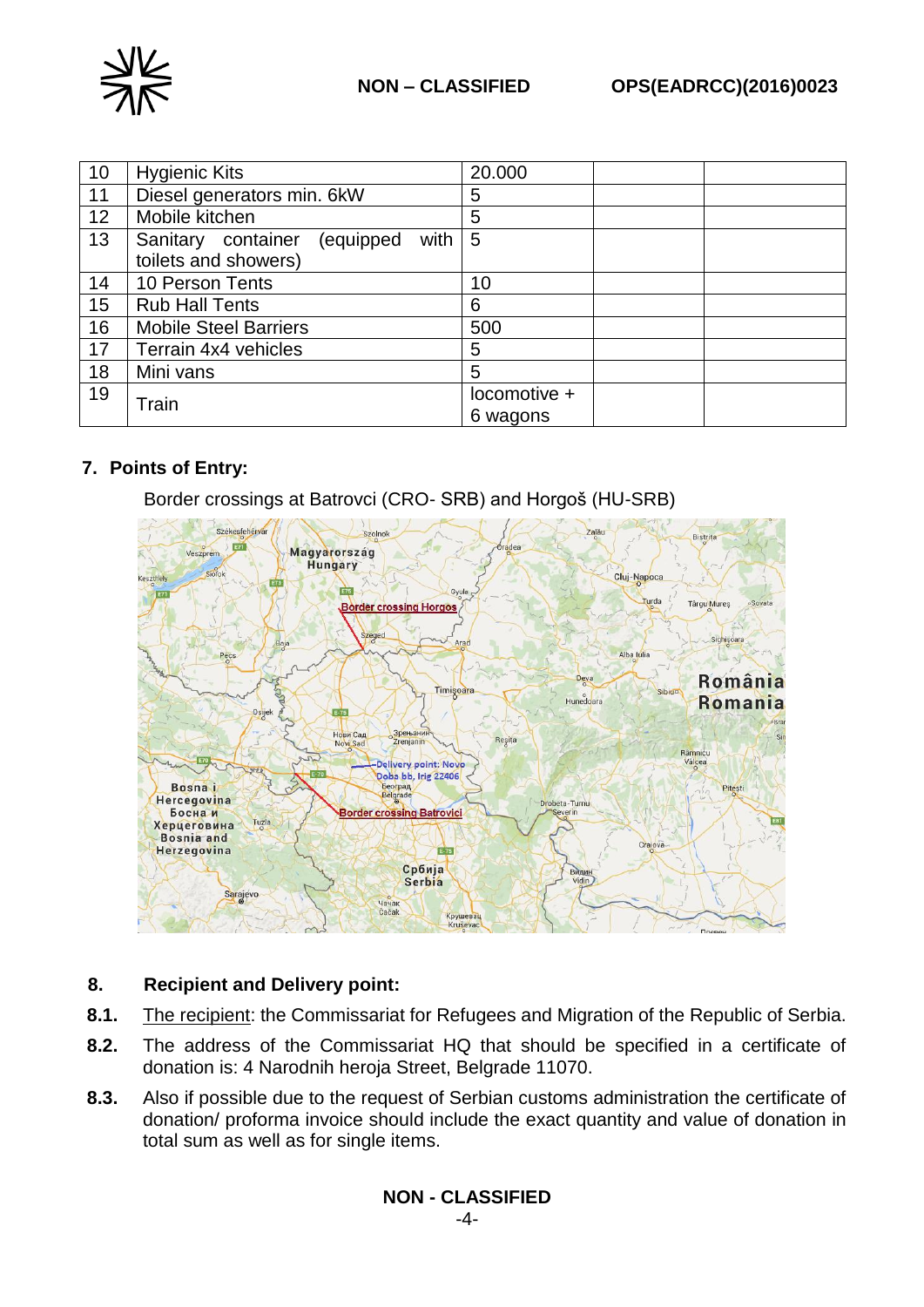

| 10 | <b>Hygienic Kits</b>                                            | 20.000                   |
|----|-----------------------------------------------------------------|--------------------------|
| 11 | Diesel generators min. 6kW                                      | 5                        |
| 12 | Mobile kitchen                                                  | 5                        |
| 13 | Sanitary container<br>(equipped<br>with<br>toilets and showers) | 5                        |
| 14 | 10 Person Tents                                                 | 10                       |
| 15 | <b>Rub Hall Tents</b>                                           | 6                        |
| 16 | <b>Mobile Steel Barriers</b>                                    | 500                      |
| 17 | Terrain 4x4 vehicles                                            | 5                        |
| 18 | Mini vans                                                       | 5                        |
| 19 | Train                                                           | locomotive +<br>6 wagons |

## **7. Points of Entry:**

Border crossings at Batrovci (CRO- SRB) and Horgoš (HU-SRB)



## **8. Recipient and Delivery point:**

- **8.1.** The recipient: the Commissariat for Refugees and Migration of the Republic of Serbia.
- **8.2.** The address of the Commissariat HQ that should be specified in a certificate of donation is: 4 Narodnih heroja Street, Belgrade 11070.
- **8.3.** Also if possible due to the request of Serbian customs administration the certificate of donation/ proforma invoice should include the exact quantity and value of donation in total sum as well as for single items.